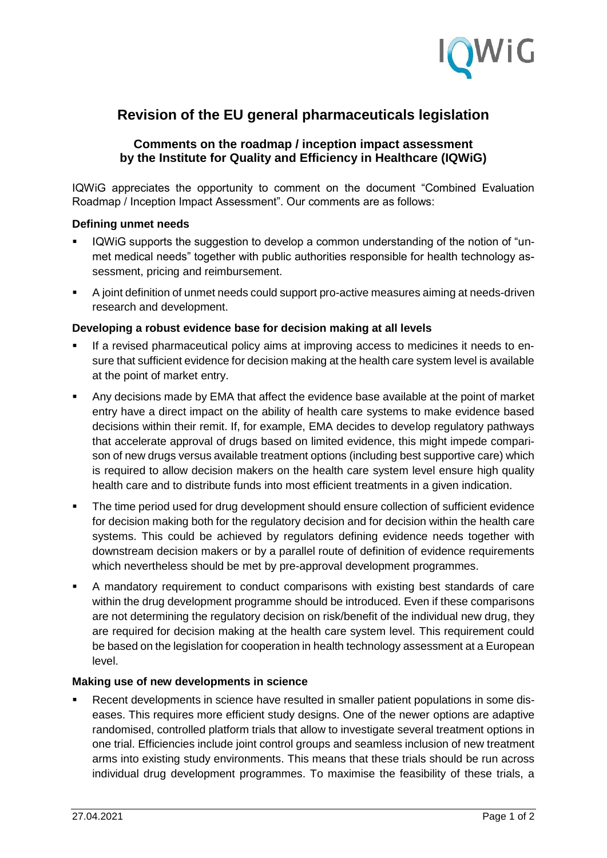

# **Revision of the EU general pharmaceuticals legislation**

## **Comments on the roadmap / inception impact assessment by the Institute for Quality and Efficiency in Healthcare (IQWiG)**

IQWiG appreciates the opportunity to comment on the document "Combined Evaluation Roadmap / Inception Impact Assessment". Our comments are as follows:

#### **Defining unmet needs**

- IQWiG supports the suggestion to develop a common understanding of the notion of "unmet medical needs" together with public authorities responsible for health technology assessment, pricing and reimbursement.
- A joint definition of unmet needs could support pro-active measures aiming at needs-driven research and development.

#### **Developing a robust evidence base for decision making at all levels**

- If a revised pharmaceutical policy aims at improving access to medicines it needs to ensure that sufficient evidence for decision making at the health care system level is available at the point of market entry.
- Any decisions made by EMA that affect the evidence base available at the point of market entry have a direct impact on the ability of health care systems to make evidence based decisions within their remit. If, for example, EMA decides to develop regulatory pathways that accelerate approval of drugs based on limited evidence, this might impede comparison of new drugs versus available treatment options (including best supportive care) which is required to allow decision makers on the health care system level ensure high quality health care and to distribute funds into most efficient treatments in a given indication.
- The time period used for drug development should ensure collection of sufficient evidence for decision making both for the regulatory decision and for decision within the health care systems. This could be achieved by regulators defining evidence needs together with downstream decision makers or by a parallel route of definition of evidence requirements which nevertheless should be met by pre-approval development programmes.
- A mandatory requirement to conduct comparisons with existing best standards of care within the drug development programme should be introduced. Even if these comparisons are not determining the regulatory decision on risk/benefit of the individual new drug, they are required for decision making at the health care system level. This requirement could be based on the legislation for cooperation in health technology assessment at a European level.

#### **Making use of new developments in science**

 Recent developments in science have resulted in smaller patient populations in some diseases. This requires more efficient study designs. One of the newer options are adaptive randomised, controlled platform trials that allow to investigate several treatment options in one trial. Efficiencies include joint control groups and seamless inclusion of new treatment arms into existing study environments. This means that these trials should be run across individual drug development programmes. To maximise the feasibility of these trials, a